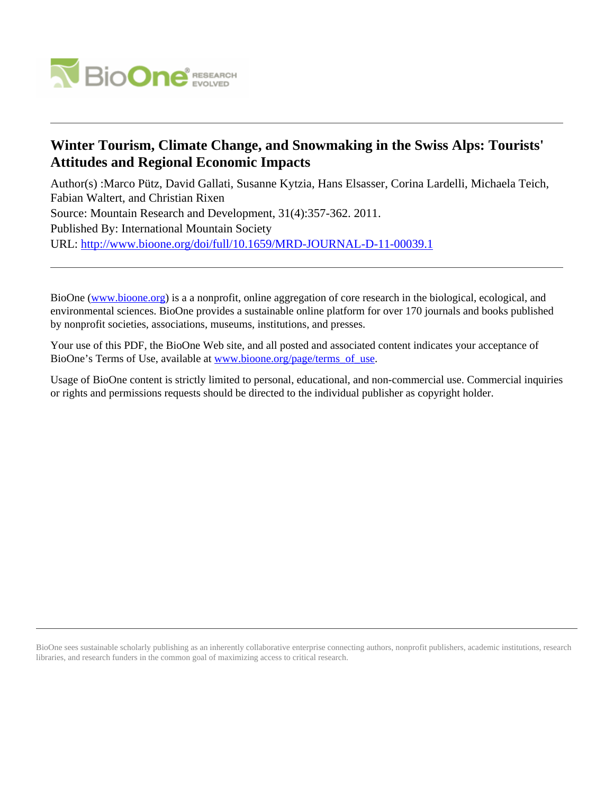

# **Winter Tourism, Climate Change, and Snowmaking in the Swiss Alps: Tourists' Attitudes and Regional Economic Impacts**

Author(s) :Marco Pütz, David Gallati, Susanne Kytzia, Hans Elsasser, Corina Lardelli, Michaela Teich, Fabian Waltert, and Christian Rixen Source: Mountain Research and Development, 31(4):357-362. 2011. Published By: International Mountain Society URL: <http://www.bioone.org/doi/full/10.1659/MRD-JOURNAL-D-11-00039.1>

BioOne [\(www.bioone.org\)](http://www.bioone.org) is a a nonprofit, online aggregation of core research in the biological, ecological, and environmental sciences. BioOne provides a sustainable online platform for over 170 journals and books published by nonprofit societies, associations, museums, institutions, and presses.

Your use of this PDF, the BioOne Web site, and all posted and associated content indicates your acceptance of BioOne's Terms of Use, available at [www.bioone.org/page/terms\\_of\\_use.](http://www.bioone.org/page/terms_of_use)

Usage of BioOne content is strictly limited to personal, educational, and non-commercial use. Commercial inquiries or rights and permissions requests should be directed to the individual publisher as copyright holder.

BioOne sees sustainable scholarly publishing as an inherently collaborative enterprise connecting authors, nonprofit publishers, academic institutions, research libraries, and research funders in the common goal of maximizing access to critical research.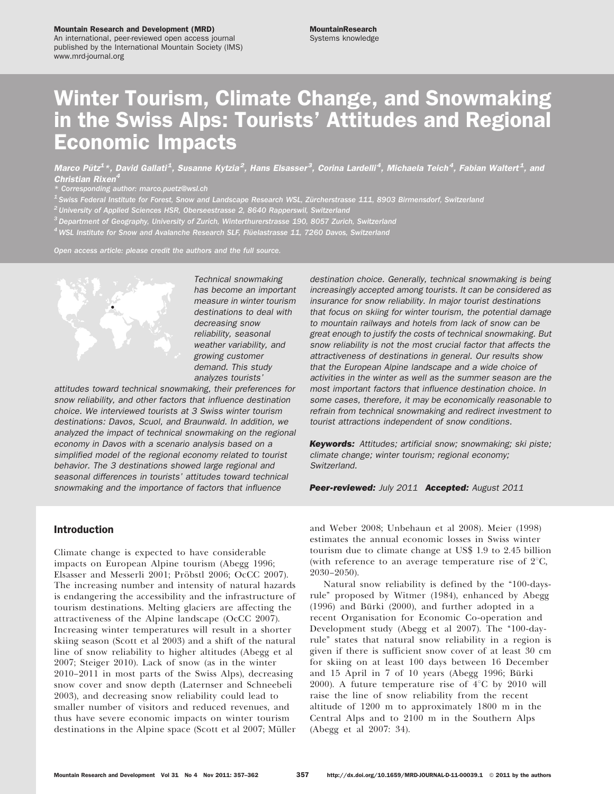#### Mountain Research and Development (MRD)

An international, peer-reviewed open access journal published by the International Mountain Society (IMS) www.mrd-journal.org

# Winter Tourism, Climate Change, and Snowmaking in the Swiss Alps: Tourists' Attitudes and Regional Economic Impacts

Marco Pütz $^{1}$ \*, David Gallati $^{1}$ , Susanne Kytzia $^{2}$ , Hans Elsasser $^{3}$ , Corina Lardelli $^{4}$ , Michaela Teich $^{4}$ , Fabian Waltert $^{4}$ , and Christian Rixen

\* Corresponding author: marco.puetz@wsl.ch

1 Swiss Federal Institute for Forest, Snow and Landscape Research WSL, Zürcherstrasse 111, 8903 Birmensdorf, Switzerland

 $^2$ University of Applied Sciences HSR, Oberseestrasse 2, 8640 Rapperswil, Switzerland

 $^3$  Department of Geography, University of Zurich, Winterthurerstrasse 190, 8057 Zurich, Switzerland

 $^4$  WSL Institute for Snow and Avalanche Research SLF, Flüelastrasse 11, 7260 Davos, Switzerland

Open access article: please credit the authors and the full source.



Technical snowmaking has become an important measure in winter tourism destinations to deal with decreasing snow reliability, seasonal weather variability, and growing customer demand. This study analyzes tourists'

attitudes toward technical snowmaking, their preferences for snow reliability, and other factors that influence destination choice. We interviewed tourists at 3 Swiss winter tourism destinations: Davos, Scuol, and Braunwald. In addition, we analyzed the impact of technical snowmaking on the regional economy in Davos with a scenario analysis based on a simplified model of the regional economy related to tourist behavior. The 3 destinations showed large regional and seasonal differences in tourists' attitudes toward technical snowmaking and the importance of factors that influence

destination choice. Generally, technical snowmaking is being increasingly accepted among tourists. It can be considered as insurance for snow reliability. In major tourist destinations that focus on skiing for winter tourism, the potential damage to mountain railways and hotels from lack of snow can be great enough to justify the costs of technical snowmaking. But snow reliability is not the most crucial factor that affects the attractiveness of destinations in general. Our results show that the European Alpine landscape and a wide choice of activities in the winter as well as the summer season are the most important factors that influence destination choice. In some cases, therefore, it may be economically reasonable to refrain from technical snowmaking and redirect investment to tourist attractions independent of snow conditions.

**Keywords:** Attitudes; artificial snow; snowmaking; ski piste; climate change; winter tourism; regional economy; Switzerland.

Peer-reviewed: July 2011 Accepted: August 2011

## Introduction

Climate change is expected to have considerable impacts on European Alpine tourism (Abegg 1996; Elsasser and Messerli 2001; Pröbstl 2006; OcCC 2007). The increasing number and intensity of natural hazards is endangering the accessibility and the infrastructure of tourism destinations. Melting glaciers are affecting the attractiveness of the Alpine landscape (OcCC 2007). Increasing winter temperatures will result in a shorter skiing season (Scott et al 2003) and a shift of the natural line of snow reliability to higher altitudes (Abegg et al 2007; Steiger 2010). Lack of snow (as in the winter 2010–2011 in most parts of the Swiss Alps), decreasing snow cover and snow depth (Laternser and Schneebeli 2003), and decreasing snow reliability could lead to smaller number of visitors and reduced revenues, and thus have severe economic impacts on winter tourism destinations in the Alpine space (Scott et al 2007; Müller

and Weber 2008; Unbehaun et al 2008). Meier (1998) estimates the annual economic losses in Swiss winter tourism due to climate change at US\$ 1.9 to 2.45 billion (with reference to an average temperature rise of  $2^{\circ}C$ , 2030–2050).

Natural snow reliability is defined by the "100-daysrule'' proposed by Witmer (1984), enhanced by Abegg (1996) and Bürki (2000), and further adopted in a recent Organisation for Economic Co-operation and Development study (Abegg et al 2007). The "100-dayrule'' states that natural snow reliability in a region is given if there is sufficient snow cover of at least 30 cm for skiing on at least 100 days between 16 December and 15 April in 7 of 10 years (Abegg 1996; Bürki 2000). A future temperature rise of  $4^{\circ}$ C by 2010 will raise the line of snow reliability from the recent altitude of 1200 m to approximately 1800 m in the Central Alps and to 2100 m in the Southern Alps (Abegg et al 2007: 34).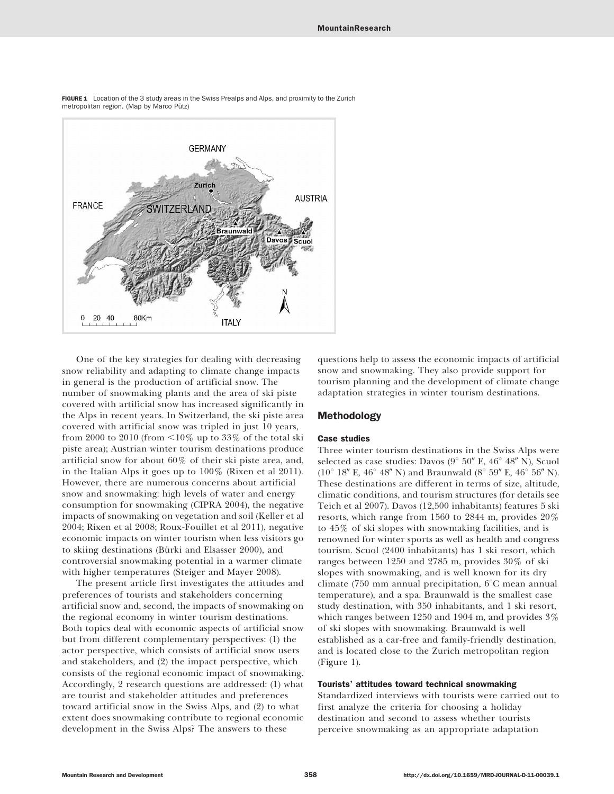

FIGURE 1 Location of the 3 study areas in the Swiss Prealps and Alps, and proximity to the Zurich metropolitan region. (Map by Marco Pütz)

One of the key strategies for dealing with decreasing snow reliability and adapting to climate change impacts in general is the production of artificial snow. The number of snowmaking plants and the area of ski piste covered with artificial snow has increased significantly in the Alps in recent years. In Switzerland, the ski piste area covered with artificial snow was tripled in just 10 years, from 2000 to 2010 (from  $\leq 10\%$  up to 33% of the total ski piste area); Austrian winter tourism destinations produce artificial snow for about 60% of their ski piste area, and, in the Italian Alps it goes up to 100% (Rixen et al 2011). However, there are numerous concerns about artificial snow and snowmaking: high levels of water and energy consumption for snowmaking (CIPRA 2004), the negative impacts of snowmaking on vegetation and soil (Keller et al 2004; Rixen et al 2008; Roux-Fouillet et al 2011), negative economic impacts on winter tourism when less visitors go to skiing destinations (Bürki and Elsasser 2000), and controversial snowmaking potential in a warmer climate with higher temperatures (Steiger and Mayer 2008).

The present article first investigates the attitudes and preferences of tourists and stakeholders concerning artificial snow and, second, the impacts of snowmaking on the regional economy in winter tourism destinations. Both topics deal with economic aspects of artificial snow but from different complementary perspectives: (1) the actor perspective, which consists of artificial snow users and stakeholders, and (2) the impact perspective, which consists of the regional economic impact of snowmaking. Accordingly, 2 research questions are addressed: (1) what are tourist and stakeholder attitudes and preferences toward artificial snow in the Swiss Alps, and (2) to what extent does snowmaking contribute to regional economic development in the Swiss Alps? The answers to these

questions help to assess the economic impacts of artificial snow and snowmaking. They also provide support for tourism planning and the development of climate change adaptation strategies in winter tourism destinations.

#### Methodology

#### Case studies

Three winter tourism destinations in the Swiss Alps were selected as case studies: Davos ( $9^{\circ}$  50" E,  $46^{\circ}$  48" N), Scuol  $(10^{\circ}$  18" E, 46° 48" N) and Braunwald (8° 59" E, 46° 56" N). These destinations are different in terms of size, altitude, climatic conditions, and tourism structures (for details see Teich et al 2007). Davos (12,500 inhabitants) features 5 ski resorts, which range from 1560 to 2844 m, provides 20% to 45% of ski slopes with snowmaking facilities, and is renowned for winter sports as well as health and congress tourism. Scuol (2400 inhabitants) has 1 ski resort, which ranges between 1250 and 2785 m, provides 30% of ski slopes with snowmaking, and is well known for its dry climate (750 mm annual precipitation,  $6^{\circ}$ C mean annual temperature), and a spa. Braunwald is the smallest case study destination, with 350 inhabitants, and 1 ski resort, which ranges between 1250 and 1904 m, and provides 3% of ski slopes with snowmaking. Braunwald is well established as a car-free and family-friendly destination, and is located close to the Zurich metropolitan region (Figure 1).

#### Tourists' attitudes toward technical snowmaking

Standardized interviews with tourists were carried out to first analyze the criteria for choosing a holiday destination and second to assess whether tourists perceive snowmaking as an appropriate adaptation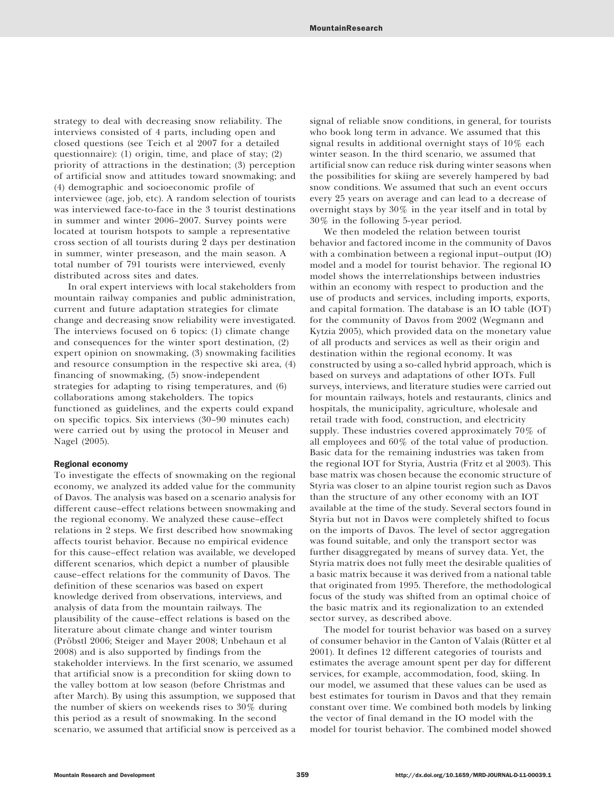strategy to deal with decreasing snow reliability. The interviews consisted of 4 parts, including open and closed questions (see Teich et al 2007 for a detailed questionnaire): (1) origin, time, and place of stay; (2) priority of attractions in the destination; (3) perception of artificial snow and attitudes toward snowmaking; and (4) demographic and socioeconomic profile of interviewee (age, job, etc). A random selection of tourists was interviewed face-to-face in the 3 tourist destinations in summer and winter 2006–2007. Survey points were located at tourism hotspots to sample a representative cross section of all tourists during 2 days per destination in summer, winter preseason, and the main season. A total number of 791 tourists were interviewed, evenly distributed across sites and dates.

In oral expert interviews with local stakeholders from mountain railway companies and public administration, current and future adaptation strategies for climate change and decreasing snow reliability were investigated. The interviews focused on 6 topics: (1) climate change and consequences for the winter sport destination, (2) expert opinion on snowmaking, (3) snowmaking facilities and resource consumption in the respective ski area, (4) financing of snowmaking, (5) snow-independent strategies for adapting to rising temperatures, and (6) collaborations among stakeholders. The topics functioned as guidelines, and the experts could expand on specific topics. Six interviews (30–90 minutes each) were carried out by using the protocol in Meuser and Nagel (2005).

#### Regional economy

To investigate the effects of snowmaking on the regional economy, we analyzed its added value for the community of Davos. The analysis was based on a scenario analysis for different cause–effect relations between snowmaking and the regional economy. We analyzed these cause–effect relations in 2 steps. We first described how snowmaking affects tourist behavior. Because no empirical evidence for this cause–effect relation was available, we developed different scenarios, which depict a number of plausible cause–effect relations for the community of Davos. The definition of these scenarios was based on expert knowledge derived from observations, interviews, and analysis of data from the mountain railways. The plausibility of the cause–effect relations is based on the literature about climate change and winter tourism (Pröbstl 2006; Steiger and Mayer 2008; Unbehaun et al 2008) and is also supported by findings from the stakeholder interviews. In the first scenario, we assumed that artificial snow is a precondition for skiing down to the valley bottom at low season (before Christmas and after March). By using this assumption, we supposed that the number of skiers on weekends rises to 30% during this period as a result of snowmaking. In the second scenario, we assumed that artificial snow is perceived as a signal of reliable snow conditions, in general, for tourists who book long term in advance. We assumed that this signal results in additional overnight stays of 10% each winter season. In the third scenario, we assumed that artificial snow can reduce risk during winter seasons when the possibilities for skiing are severely hampered by bad snow conditions. We assumed that such an event occurs every 25 years on average and can lead to a decrease of overnight stays by 30% in the year itself and in total by 30% in the following 5-year period.

We then modeled the relation between tourist behavior and factored income in the community of Davos with a combination between a regional input–output (IO) model and a model for tourist behavior. The regional IO model shows the interrelationships between industries within an economy with respect to production and the use of products and services, including imports, exports, and capital formation. The database is an IO table (IOT) for the community of Davos from 2002 (Wegmann and Kytzia 2005), which provided data on the monetary value of all products and services as well as their origin and destination within the regional economy. It was constructed by using a so-called hybrid approach, which is based on surveys and adaptations of other IOTs. Full surveys, interviews, and literature studies were carried out for mountain railways, hotels and restaurants, clinics and hospitals, the municipality, agriculture, wholesale and retail trade with food, construction, and electricity supply. These industries covered approximately 70% of all employees and 60% of the total value of production. Basic data for the remaining industries was taken from the regional IOT for Styria, Austria (Fritz et al 2003). This base matrix was chosen because the economic structure of Styria was closer to an alpine tourist region such as Davos than the structure of any other economy with an IOT available at the time of the study. Several sectors found in Styria but not in Davos were completely shifted to focus on the imports of Davos. The level of sector aggregation was found suitable, and only the transport sector was further disaggregated by means of survey data. Yet, the Styria matrix does not fully meet the desirable qualities of a basic matrix because it was derived from a national table that originated from 1995. Therefore, the methodological focus of the study was shifted from an optimal choice of the basic matrix and its regionalization to an extended sector survey, as described above.

The model for tourist behavior was based on a survey of consumer behavior in the Canton of Valais (Rütter et al 2001). It defines 12 different categories of tourists and estimates the average amount spent per day for different services, for example, accommodation, food, skiing. In our model, we assumed that these values can be used as best estimates for tourism in Davos and that they remain constant over time. We combined both models by linking the vector of final demand in the IO model with the model for tourist behavior. The combined model showed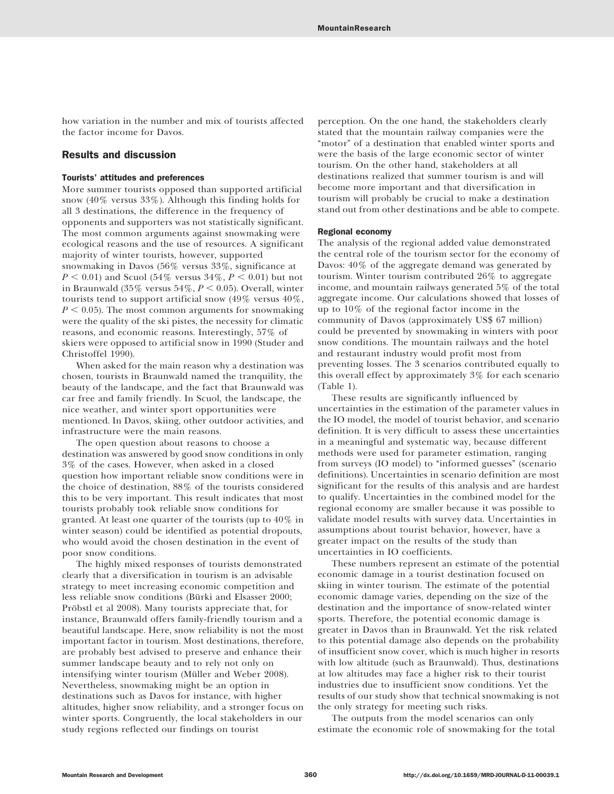how variation in the number and mix of tourists affected the factor income for Davos.

# Results and discussion

#### Tourists' attitudes and preferences

More summer tourists opposed than supported artificial snow (40% versus 33%). Although this finding holds for all 3 destinations, the difference in the frequency of opponents and supporters was not statistically significant. The most common arguments against snowmaking were ecological reasons and the use of resources. A significant majority of winter tourists, however, supported snowmaking in Davos (56% versus 33%, significance at  $P < 0.01$ ) and Scuol (54% versus 34%,  $P < 0.01$ ) but not in Braunwald (35% versus  $54\%, P < 0.05$ ). Overall, winter tourists tend to support artificial snow (49% versus 40%,  $P < 0.05$ ). The most common arguments for snowmaking were the quality of the ski pistes, the necessity for climatic reasons, and economic reasons. Interestingly, 57% of skiers were opposed to artificial snow in 1990 (Studer and Christoffel 1990).

When asked for the main reason why a destination was chosen, tourists in Braunwald named the tranquility, the beauty of the landscape, and the fact that Braunwald was car free and family friendly. In Scuol, the landscape, the nice weather, and winter sport opportunities were mentioned. In Davos, skiing, other outdoor activities, and infrastructure were the main reasons.

The open question about reasons to choose a destination was answered by good snow conditions in only 3% of the cases. However, when asked in a closed question how important reliable snow conditions were in the choice of destination, 88% of the tourists considered this to be very important. This result indicates that most tourists probably took reliable snow conditions for granted. At least one quarter of the tourists (up to 40% in winter season) could be identified as potential dropouts, who would avoid the chosen destination in the event of poor snow conditions.

The highly mixed responses of tourists demonstrated clearly that a diversification in tourism is an advisable strategy to meet increasing economic competition and less reliable snow conditions (Bürki and Elsasser 2000; Probstl et al 2008). Many tourists appreciate that, for instance, Braunwald offers family-friendly tourism and a beautiful landscape. Here, snow reliability is not the most important factor in tourism. Most destinations, therefore, are probably best advised to preserve and enhance their summer landscape beauty and to rely not only on intensifying winter tourism (Müller and Weber 2008). Nevertheless, snowmaking might be an option in destinations such as Davos for instance, with higher altitudes, higher snow reliability, and a stronger focus on winter sports. Congruently, the local stakeholders in our study regions reflected our findings on tourist

perception. On the one hand, the stakeholders clearly stated that the mountain railway companies were the "motor" of a destination that enabled winter sports and were the basis of the large economic sector of winter tourism. On the other hand, stakeholders at all destinations realized that summer tourism is and will become more important and that diversification in tourism will probably be crucial to make a destination stand out from other destinations and be able to compete.

#### Regional economy

The analysis of the regional added value demonstrated the central role of the tourism sector for the economy of Davos: 40% of the aggregate demand was generated by tourism. Winter tourism contributed 26% to aggregate income, and mountain railways generated 5% of the total aggregate income. Our calculations showed that losses of up to 10% of the regional factor income in the community of Davos (approximately US\$ 67 million) could be prevented by snowmaking in winters with poor snow conditions. The mountain railways and the hotel and restaurant industry would profit most from preventing losses. The 3 scenarios contributed equally to this overall effect by approximately 3% for each scenario (Table 1).

These results are significantly influenced by uncertainties in the estimation of the parameter values in the IO model, the model of tourist behavior, and scenario definition. It is very difficult to assess these uncertainties in a meaningful and systematic way, because different methods were used for parameter estimation, ranging from surveys (IO model) to "informed guesses" (scenario definitions). Uncertainties in scenario definition are most significant for the results of this analysis and are hardest to qualify. Uncertainties in the combined model for the regional economy are smaller because it was possible to validate model results with survey data. Uncertainties in assumptions about tourist behavior, however, have a greater impact on the results of the study than uncertainties in IO coefficients.

These numbers represent an estimate of the potential economic damage in a tourist destination focused on skiing in winter tourism. The estimate of the potential economic damage varies, depending on the size of the destination and the importance of snow-related winter sports. Therefore, the potential economic damage is greater in Davos than in Braunwald. Yet the risk related to this potential damage also depends on the probability of insufficient snow cover, which is much higher in resorts with low altitude (such as Braunwald). Thus, destinations at low altitudes may face a higher risk to their tourist industries due to insufficient snow conditions. Yet the results of our study show that technical snowmaking is not the only strategy for meeting such risks.

The outputs from the model scenarios can only estimate the economic role of snowmaking for the total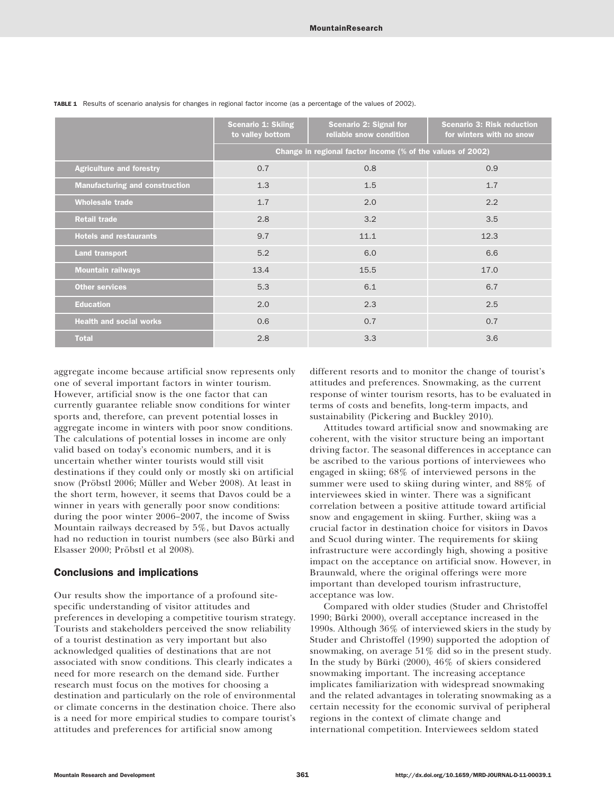|                                       | <b>Scenario 1: Skiing</b><br>to valley bottom              | <b>Scenario 2: Signal for</b><br>reliable snow condition | <b>Scenario 3: Risk reduction</b><br>for winters with no snow |
|---------------------------------------|------------------------------------------------------------|----------------------------------------------------------|---------------------------------------------------------------|
|                                       | Change in regional factor income (% of the values of 2002) |                                                          |                                                               |
| <b>Agriculture and forestry</b>       | 0.7                                                        | 0.8                                                      | 0.9                                                           |
| <b>Manufacturing and construction</b> | 1.3                                                        | 1.5                                                      | 1.7                                                           |
| <b>Wholesale trade</b>                | 1.7                                                        | 2.0                                                      | 2.2                                                           |
| <b>Retail trade</b>                   | 2.8                                                        | 3.2                                                      | 3.5                                                           |
| <b>Hotels and restaurants</b>         | 9.7                                                        | 11.1                                                     | 12.3                                                          |
| <b>Land transport</b>                 | 5.2                                                        | 6.0                                                      | 6.6                                                           |
| <b>Mountain railways</b>              | 13.4                                                       | 15.5                                                     | 17.0                                                          |
| <b>Other services</b>                 | 5.3                                                        | 6.1                                                      | 6.7                                                           |
| <b>Education</b>                      | 2.0                                                        | 2.3                                                      | 2.5                                                           |
| <b>Health and social works</b>        | 0.6                                                        | 0.7                                                      | 0.7                                                           |
| <b>Total</b>                          | 2.8                                                        | 3.3                                                      | 3.6                                                           |

TABLE 1 Results of scenario analysis for changes in regional factor income (as a percentage of the values of 2002).

aggregate income because artificial snow represents only one of several important factors in winter tourism. However, artificial snow is the one factor that can currently guarantee reliable snow conditions for winter sports and, therefore, can prevent potential losses in aggregate income in winters with poor snow conditions. The calculations of potential losses in income are only valid based on today's economic numbers, and it is uncertain whether winter tourists would still visit destinations if they could only or mostly ski on artificial snow (Pröbstl 2006; Müller and Weber 2008). At least in the short term, however, it seems that Davos could be a winner in years with generally poor snow conditions: during the poor winter 2006–2007, the income of Swiss Mountain railways decreased by 5%, but Davos actually had no reduction in tourist numbers (see also Bürki and Elsasser 2000; Pröbstl et al 2008).

### Conclusions and implications

Our results show the importance of a profound sitespecific understanding of visitor attitudes and preferences in developing a competitive tourism strategy. Tourists and stakeholders perceived the snow reliability of a tourist destination as very important but also acknowledged qualities of destinations that are not associated with snow conditions. This clearly indicates a need for more research on the demand side. Further research must focus on the motives for choosing a destination and particularly on the role of environmental or climate concerns in the destination choice. There also is a need for more empirical studies to compare tourist's attitudes and preferences for artificial snow among

different resorts and to monitor the change of tourist's attitudes and preferences. Snowmaking, as the current response of winter tourism resorts, has to be evaluated in terms of costs and benefits, long-term impacts, and sustainability (Pickering and Buckley 2010).

Attitudes toward artificial snow and snowmaking are coherent, with the visitor structure being an important driving factor. The seasonal differences in acceptance can be ascribed to the various portions of interviewees who engaged in skiing; 68% of interviewed persons in the summer were used to skiing during winter, and 88% of interviewees skied in winter. There was a significant correlation between a positive attitude toward artificial snow and engagement in skiing. Further, skiing was a crucial factor in destination choice for visitors in Davos and Scuol during winter. The requirements for skiing infrastructure were accordingly high, showing a positive impact on the acceptance on artificial snow. However, in Braunwald, where the original offerings were more important than developed tourism infrastructure, acceptance was low.

Compared with older studies (Studer and Christoffel 1990; Bürki 2000), overall acceptance increased in the 1990s. Although 36% of interviewed skiers in the study by Studer and Christoffel (1990) supported the adoption of snowmaking, on average 51% did so in the present study. In the study by Bürki (2000),  $46\%$  of skiers considered snowmaking important. The increasing acceptance implicates familiarization with widespread snowmaking and the related advantages in tolerating snowmaking as a certain necessity for the economic survival of peripheral regions in the context of climate change and international competition. Interviewees seldom stated